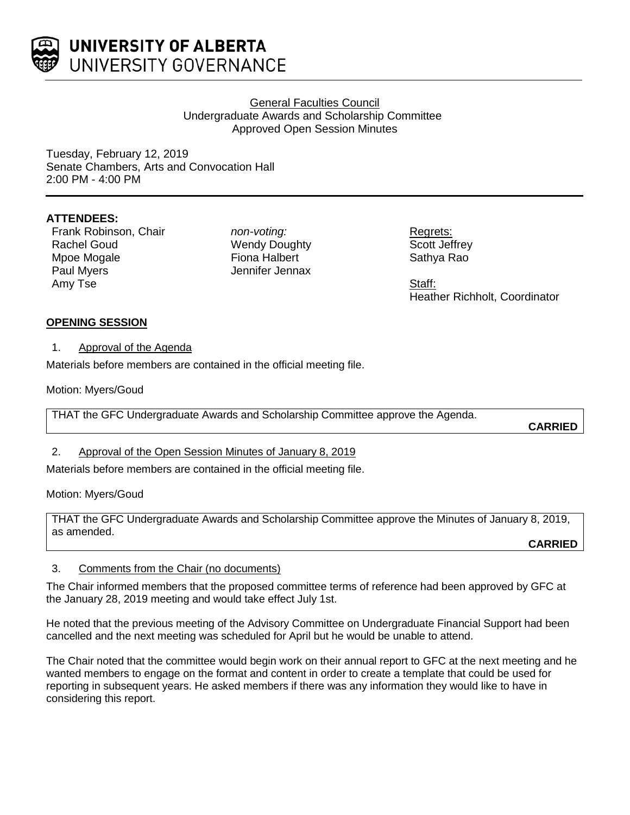

## General Faculties Council Undergraduate Awards and Scholarship Committee Approved Open Session Minutes

Tuesday, February 12, 2019 Senate Chambers, Arts and Convocation Hall 2:00 PM - 4:00 PM

# **ATTENDEES:**

Frank Robinson, Chair Rachel Goud Mpoe Mogale Paul Myers Amy Tse

*non-voting:* Wendy Doughty Fiona Halbert Jennifer Jennax

Regrets: Scott Jeffrey Sathya Rao

Staff: Heather Richholt, Coordinator

### **OPENING SESSION**

1. Approval of the Agenda

Materials before members are contained in the official meeting file.

Motion: Myers/Goud

THAT the GFC Undergraduate Awards and Scholarship Committee approve the Agenda.

**CARRIED**

#### 2. Approval of the Open Session Minutes of January 8, 2019

Materials before members are contained in the official meeting file.

Motion: Myers/Goud

THAT the GFC Undergraduate Awards and Scholarship Committee approve the Minutes of January 8, 2019, as amended.

**CARRIED**

#### 3. Comments from the Chair (no documents)

The Chair informed members that the proposed committee terms of reference had been approved by GFC at the January 28, 2019 meeting and would take effect July 1st.

He noted that the previous meeting of the Advisory Committee on Undergraduate Financial Support had been cancelled and the next meeting was scheduled for April but he would be unable to attend.

The Chair noted that the committee would begin work on their annual report to GFC at the next meeting and he wanted members to engage on the format and content in order to create a template that could be used for reporting in subsequent years. He asked members if there was any information they would like to have in considering this report.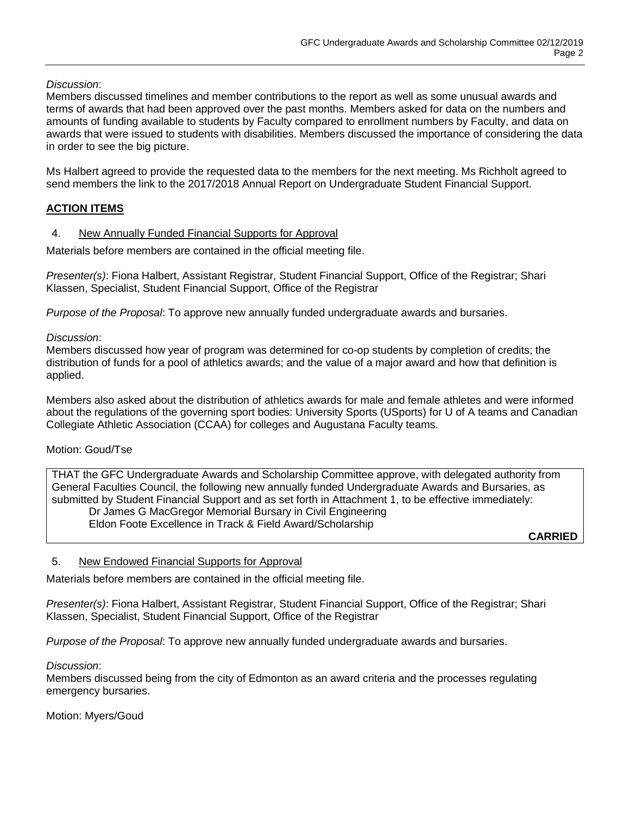## *Discussion*:

Members discussed timelines and member contributions to the report as well as some unusual awards and terms of awards that had been approved over the past months. Members asked for data on the numbers and amounts of funding available to students by Faculty compared to enrollment numbers by Faculty, and data on awards that were issued to students with disabilities. Members discussed the importance of considering the data in order to see the big picture.

Ms Halbert agreed to provide the requested data to the members for the next meeting. Ms Richholt agreed to send members the link to the 2017/2018 Annual Report on Undergraduate Student Financial Support.

# **ACTION ITEMS**

### 4. New Annually Funded Financial Supports for Approval

Materials before members are contained in the official meeting file.

*Presenter(s)*: Fiona Halbert, Assistant Registrar, Student Financial Support, Office of the Registrar; Shari Klassen, Specialist, Student Financial Support, Office of the Registrar

*Purpose of the Proposal*: To approve new annually funded undergraduate awards and bursaries.

#### *Discussion*:

Members discussed how year of program was determined for co-op students by completion of credits; the distribution of funds for a pool of athletics awards; and the value of a major award and how that definition is applied.

Members also asked about the distribution of athletics awards for male and female athletes and were informed about the regulations of the governing sport bodies: University Sports (USports) for U of A teams and Canadian Collegiate Athletic Association (CCAA) for colleges and Augustana Faculty teams.

#### Motion: Goud/Tse

THAT the GFC Undergraduate Awards and Scholarship Committee approve, with delegated authority from General Faculties Council, the following new annually funded Undergraduate Awards and Bursaries, as submitted by Student Financial Support and as set forth in Attachment 1, to be effective immediately: Dr James G MacGregor Memorial Bursary in Civil Engineering Eldon Foote Excellence in Track & Field Award/Scholarship

**CARRIED**

#### 5. New Endowed Financial Supports for Approval

Materials before members are contained in the official meeting file.

*Presenter(s)*: Fiona Halbert, Assistant Registrar, Student Financial Support, Office of the Registrar; Shari Klassen, Specialist, Student Financial Support, Office of the Registrar

*Purpose of the Proposal*: To approve new annually funded undergraduate awards and bursaries.

#### *Discussion*:

Members discussed being from the city of Edmonton as an award criteria and the processes regulating emergency bursaries.

Motion: Myers/Goud